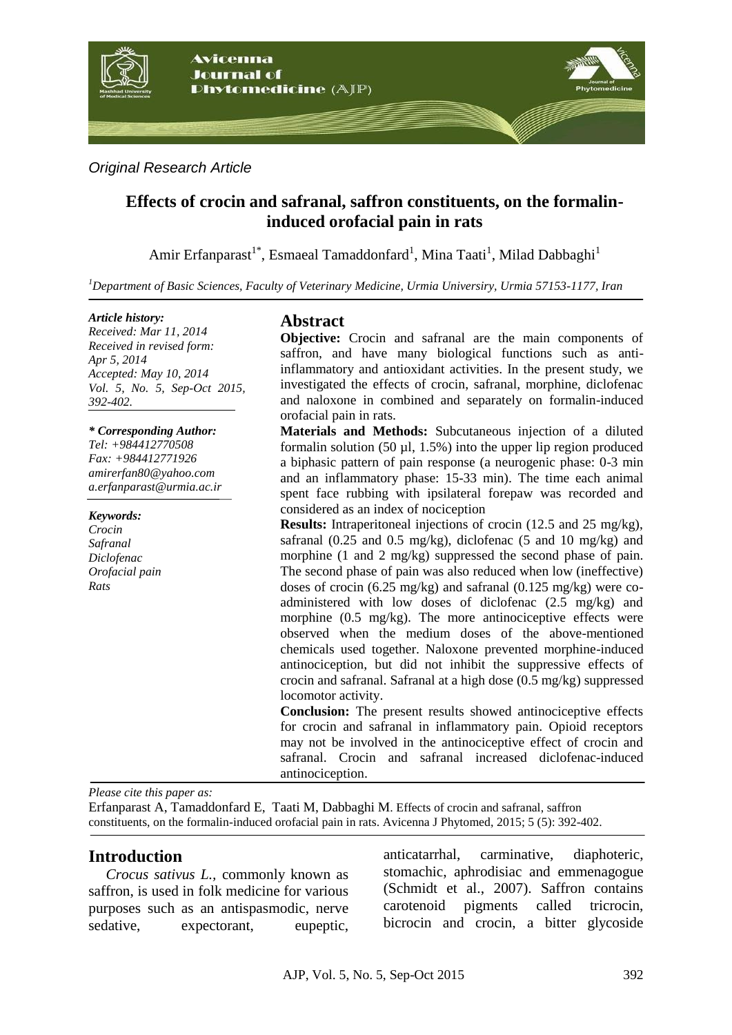

*Original Research Article*

# **Effects of crocin and safranal, saffron constituents, on the formalininduced orofacial pain in rats**

Amir Erfanparast<sup>1\*</sup>, Esmaeal Tamaddonfard<sup>1</sup>, Mina Taati<sup>1</sup>, Milad Dabbaghi<sup>1</sup>

*<sup>1</sup>Department of Basic Sciences, Faculty of Veterinary Medicine, Urmia Universiry, Urmia 57153-1177, Iran* 

#### *Article history:*

*Received: Mar 11, 2014 Received in revised form: Apr 5, 2014 Accepted: May 10, 2014 Vol. 5, No. 5, Sep-Oct 2015, 392-402.*

#### *\* Corresponding Author:*

*Tel: +984412770508 Fax: +984412771926 [amirerfan80@yahoo.com](mailto:amirerfan80@yahoo.com) a.erfanparast@urmia.ac.ir*

*Keywords: Crocin Safranal Diclofenac Orofacial pain Rats*

## **Abstract**

**Objective:** Crocin and safranal are the main components of saffron, and have many biological functions such as antiinflammatory and antioxidant activities. In the present study, we investigated the effects of crocin, safranal, morphine, diclofenac and naloxone in combined and separately on formalin-induced orofacial pain in rats.

**Materials and Methods:** Subcutaneous injection of a diluted formalin solution (50  $\mu$ l, 1.5%) into the upper lip region produced a biphasic pattern of pain response (a neurogenic phase: 0-3 min and an inflammatory phase: 15-33 min). The time each animal spent face rubbing with ipsilateral forepaw was recorded and considered as an index of nociception

**Results:** Intraperitoneal injections of crocin (12.5 and 25 mg/kg), safranal (0.25 and 0.5 mg/kg), diclofenac (5 and 10 mg/kg) and morphine (1 and 2 mg/kg) suppressed the second phase of pain. The second phase of pain was also reduced when low (ineffective) doses of crocin (6.25 mg/kg) and safranal (0.125 mg/kg) were coadministered with low doses of diclofenac (2.5 mg/kg) and morphine (0.5 mg/kg). The more antinociceptive effects were observed when the medium doses of the above-mentioned chemicals used together. Naloxone prevented morphine-induced antinociception, but did not inhibit the suppressive effects of crocin and safranal. Safranal at a high dose (0.5 mg/kg) suppressed locomotor activity.

**Conclusion:** The present results showed antinociceptive effects for crocin and safranal in inflammatory pain. Opioid receptors may not be involved in the antinociceptive effect of crocin and safranal. Crocin and safranal increased diclofenac-induced antinociception.

*Please cite this paper as:* 

Erfanparast A, Tamaddonfard E, Taati M, Dabbaghi M. Effects of crocin and safranal, saffron constituents, on the formalin-induced orofacial pain in rats. Avicenna J Phytomed, 2015; 5 (5): 392-402.

## **Introduction**

*Crocus sativus L.,* commonly known as saffron, is used in folk medicine for various purposes such as an antispasmodic, nerve sedative, expectorant, eupeptic, anticatarrhal, carminative, diaphoteric, stomachic, aphrodisiac and emmenagogue (Schmidt et al., 2007). Saffron contains carotenoid pigments called tricrocin, bicrocin and crocin, a bitter glycoside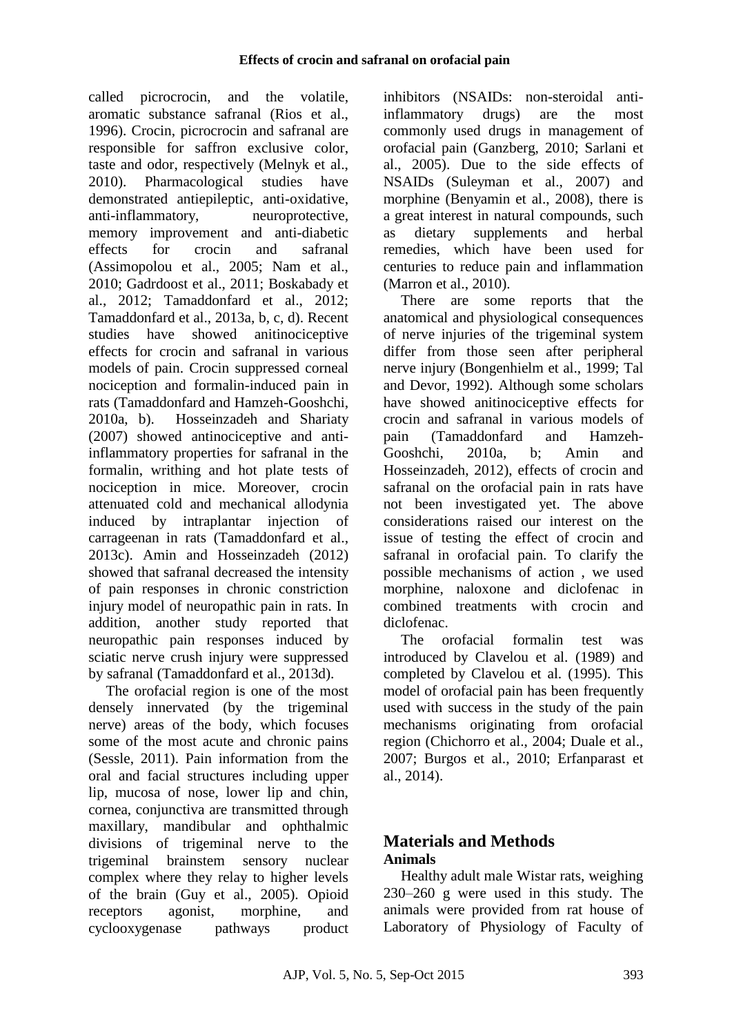called picrocrocin, and the volatile, aromatic substance safranal (Rios et al., 1996). Crocin, picrocrocin and safranal are responsible for saffron exclusive color, taste and odor, respectively (Melnyk et al., 2010). Pharmacological studies have demonstrated antiepileptic, anti-oxidative, anti-inflammatory, neuroprotective, memory improvement and anti-diabetic effects for crocin and safranal (Assimopolou et al., 2005; Nam et al., 2010; Gadrdoost et al., 2011; Boskabady et al., 2012; Tamaddonfard et al., 2012; Tamaddonfard et al., 2013a, b, c, d). Recent studies have showed anitinociceptive effects for crocin and safranal in various models of pain. Crocin suppressed corneal nociception and formalin-induced pain in rats (Tamaddonfard and Hamzeh-Gooshchi, 2010a, b). Hosseinzadeh and Shariaty (2007) showed antinociceptive and antiinflammatory properties for safranal in the formalin, writhing and hot plate tests of nociception in mice. Moreover, crocin attenuated cold and mechanical allodynia induced by intraplantar injection of carrageenan in rats (Tamaddonfard et al., 2013c). Amin and Hosseinzadeh (2012) showed that safranal decreased the intensity of pain responses in chronic constriction injury model of neuropathic pain in rats. In addition, another study reported that neuropathic pain responses induced by sciatic nerve crush injury were suppressed by safranal (Tamaddonfard et al., 2013d).

The orofacial region is one of the most densely innervated (by the trigeminal nerve) areas of the body, which focuses some of the most acute and chronic pains (Sessle, 2011). Pain information from the oral and facial structures including upper lip, mucosa of nose, lower lip and chin, cornea, conjunctiva are transmitted through maxillary, mandibular and ophthalmic divisions of trigeminal nerve to the trigeminal brainstem sensory nuclear complex where they relay to higher levels of the brain (Guy et al., 2005). Opioid receptors agonist, morphine, and cyclooxygenase pathways product inhibitors (NSAIDs: non-steroidal antiinflammatory drugs) are the most commonly used drugs in management of orofacial pain (Ganzberg, 2010; Sarlani et al., 2005). Due to the side effects of NSAIDs (Suleyman et al., 2007) and morphine (Benyamin et al., 2008), there is a great interest in natural compounds, such as dietary supplements and herbal remedies, which have been used for centuries to reduce pain and inflammation (Marron et al., 2010).

There are some reports that the anatomical and physiological consequences of nerve injuries of the trigeminal system differ from those seen after peripheral nerve injury (Bongenhielm et al., 1999; Tal and Devor, 1992). Although some scholars have showed anitinociceptive effects for crocin and safranal in various models of pain (Tamaddonfard and Hamzeh-Gooshchi, 2010a, b; Amin and Hosseinzadeh, 2012), effects of crocin and safranal on the orofacial pain in rats have not been investigated yet. The above considerations raised our interest on the issue of testing the effect of crocin and safranal in orofacial pain. To clarify the possible mechanisms of action , we used morphine, naloxone and diclofenac in combined treatments with crocin and diclofenac.

The orofacial formalin test was introduced by Clavelou et al. (1989) and completed by Clavelou et al. (1995). This model of orofacial pain has been frequently used with success in the study of the pain mechanisms originating from orofacial region (Chichorro et al., 2004; Duale et al., 2007; Burgos et al., 2010; Erfanparast et al., 2014).

# **Materials and Methods Animals**

Healthy adult male Wistar rats, weighing 230–260 g were used in this study. The animals were provided from rat house of Laboratory of Physiology of Faculty of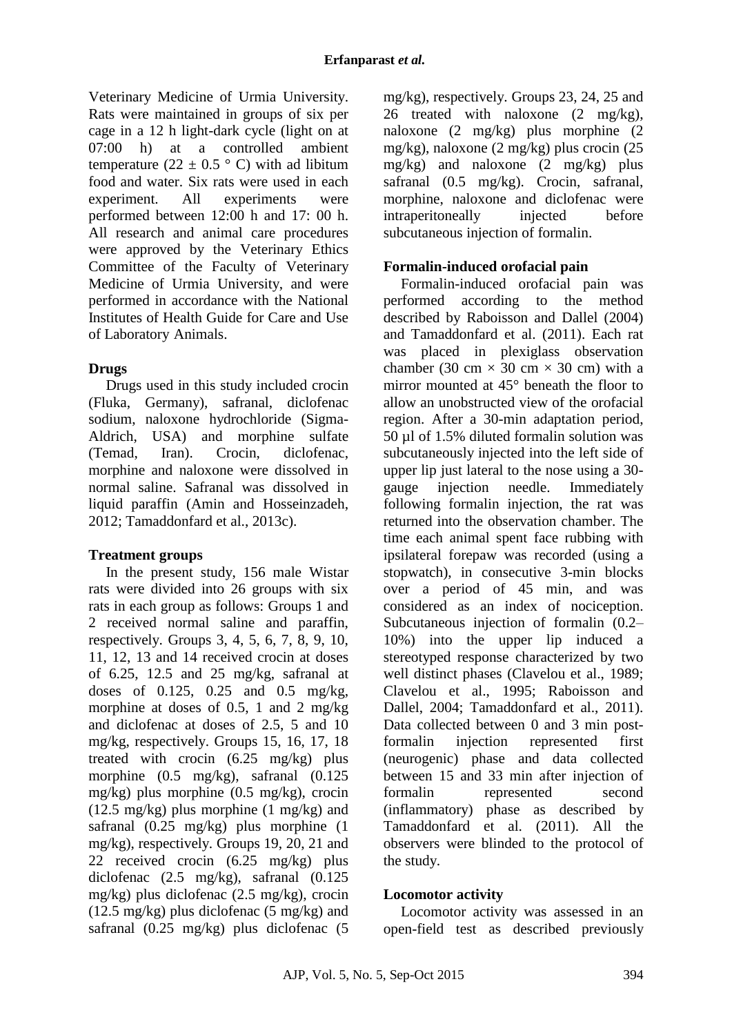Veterinary Medicine of Urmia University. Rats were maintained in groups of six per cage in a 12 h light-dark cycle (light on at 07:00 h) at a controlled ambient temperature (22  $\pm$  0.5 ° C) with ad libitum food and water. Six rats were used in each experiment. All experiments were performed between 12:00 h and 17: 00 h. All research and animal care procedures were approved by the Veterinary Ethics Committee of the Faculty of Veterinary Medicine of Urmia University, and were performed in accordance with the National Institutes of Health Guide for Care and Use of Laboratory Animals.

## **Drugs**

Drugs used in this study included crocin (Fluka, Germany), safranal, diclofenac sodium, naloxone hydrochloride (Sigma-Aldrich, USA) and morphine sulfate (Temad, Iran). Crocin, diclofenac, morphine and naloxone were dissolved in normal saline. Safranal was dissolved in liquid paraffin (Amin and Hosseinzadeh, 2012; Tamaddonfard et al., 2013c).

## **Treatment groups**

In the present study, 156 male Wistar rats were divided into 26 groups with six rats in each group as follows: Groups 1 and 2 received normal saline and paraffin, respectively. Groups 3, 4, 5, 6, 7, 8, 9, 10, 11, 12, 13 and 14 received crocin at doses of 6.25, 12.5 and 25 mg/kg, safranal at doses of 0.125, 0.25 and 0.5 mg/kg, morphine at doses of 0.5, 1 and 2 mg/kg and diclofenac at doses of 2.5, 5 and 10 mg/kg, respectively. Groups 15, 16, 17, 18 treated with crocin (6.25 mg/kg) plus morphine (0.5 mg/kg), safranal (0.125 mg/kg) plus morphine (0.5 mg/kg), crocin  $(12.5 \text{ mg/kg})$  plus morphine  $(1 \text{ mg/kg})$  and safranal (0.25 mg/kg) plus morphine (1 mg/kg), respectively. Groups 19, 20, 21 and 22 received crocin (6.25 mg/kg) plus diclofenac (2.5 mg/kg), safranal (0.125 mg/kg) plus diclofenac (2.5 mg/kg), crocin  $(12.5 \text{ mg/kg})$  plus diclofenac  $(5 \text{ mg/kg})$  and safranal (0.25 mg/kg) plus diclofenac (5 mg/kg), respectively. Groups 23, 24, 25 and 26 treated with naloxone (2 mg/kg), naloxone (2 mg/kg) plus morphine (2 mg/kg), naloxone (2 mg/kg) plus crocin (25 mg/kg) and naloxone (2 mg/kg) plus safranal (0.5 mg/kg). Crocin, safranal, morphine, naloxone and diclofenac were intraperitoneally injected before subcutaneous injection of formalin.

## **Formalin-induced orofacial pain**

Formalin-induced orofacial pain was performed according to the method described by Raboisson and Dallel (2004) and Tamaddonfard et al. (2011). Each rat was placed in plexiglass observation chamber (30 cm  $\times$  30 cm  $\times$  30 cm) with a mirror mounted at 45° beneath the floor to allow an unobstructed view of the orofacial region. After a 30-min adaptation period, 50 µl of 1.5% diluted formalin solution was subcutaneously injected into the left side of upper lip just lateral to the nose using a 30 gauge injection needle. Immediately following formalin injection, the rat was returned into the observation chamber. The time each animal spent face rubbing with ipsilateral forepaw was recorded (using a stopwatch), in consecutive 3-min blocks over a period of 45 min, and was considered as an index of nociception. Subcutaneous injection of formalin (0.2– 10%) into the upper lip induced a stereotyped response characterized by two well distinct phases (Clavelou et al., 1989; Clavelou et al., 1995; Raboisson and Dallel, 2004; Tamaddonfard et al., 2011). Data collected between 0 and 3 min postformalin injection represented first (neurogenic) phase and data collected between 15 and 33 min after injection of formalin represented second (inflammatory) phase as described by Tamaddonfard et al. (2011). All the observers were blinded to the protocol of the study.

## **Locomotor activity**

Locomotor activity was assessed in an open-field test as described previously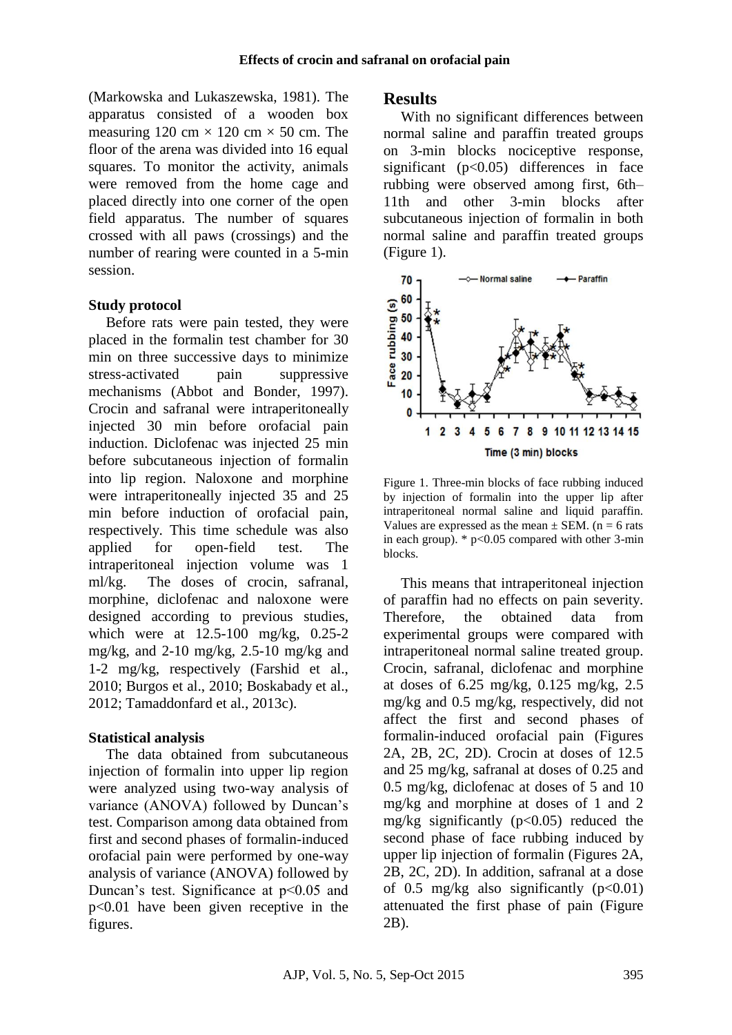(Markowska and Lukaszewska, 1981). The apparatus consisted of a wooden box measuring 120 cm  $\times$  120 cm  $\times$  50 cm. The floor of the arena was divided into 16 equal squares. To monitor the activity, animals were removed from the home cage and placed directly into one corner of the open field apparatus. The number of squares crossed with all paws (crossings) and the number of rearing were counted in a 5-min session.

#### **Study protocol**

Before rats were pain tested, they were placed in the formalin test chamber for 30 min on three successive days to minimize stress-activated pain suppressive mechanisms (Abbot and Bonder, 1997). Crocin and safranal were intraperitoneally injected 30 min before orofacial pain induction. Diclofenac was injected 25 min before subcutaneous injection of formalin into lip region. Naloxone and morphine were intraperitoneally injected 35 and 25 min before induction of orofacial pain, respectively. This time schedule was also applied for open-field test. The intraperitoneal injection volume was 1 ml/kg. The doses of crocin, safranal, morphine, diclofenac and naloxone were designed according to previous studies, which were at 12.5-100 mg/kg, 0.25-2 mg/kg, and 2-10 mg/kg, 2.5-10 mg/kg and 1-2 mg/kg, respectively (Farshid et al., 2010; Burgos et al., 2010; Boskabady et al., 2012; Tamaddonfard et al., 2013c).

#### **Statistical analysis**

The data obtained from subcutaneous injection of formalin into upper lip region were analyzed using two-way analysis of variance (ANOVA) followed by Duncan's test. Comparison among data obtained from first and second phases of formalin-induced orofacial pain were performed by one-way analysis of variance (ANOVA) followed by Duncan's test. Significance at  $p<0.05$  and p<0.01 have been given receptive in the figures.

### **Results**

With no significant differences between normal saline and paraffin treated groups on 3-min blocks nociceptive response, significant ( $p<0.05$ ) differences in face rubbing were observed among first, 6th– 11th and other 3-min blocks after subcutaneous injection of formalin in both normal saline and paraffin treated groups (Figure 1).



Figure 1. Three-min blocks of face rubbing induced by injection of formalin into the upper lip after intraperitoneal normal saline and liquid paraffin. Values are expressed as the mean  $\pm$  SEM. (n = 6 rats in each group).  $*$  p<0.05 compared with other 3-min blocks.

This means that intraperitoneal injection of paraffin had no effects on pain severity. Therefore, the obtained data from experimental groups were compared with intraperitoneal normal saline treated group. Crocin, safranal, diclofenac and morphine at doses of 6.25 mg/kg, 0.125 mg/kg, 2.5 mg/kg and 0.5 mg/kg, respectively, did not affect the first and second phases of formalin-induced orofacial pain (Figures 2A, 2B, 2C, 2D). Crocin at doses of 12.5 and 25 mg/kg, safranal at doses of 0.25 and 0.5 mg/kg, diclofenac at doses of 5 and 10 mg/kg and morphine at doses of 1 and 2 mg/kg significantly  $(p<0.05)$  reduced the second phase of face rubbing induced by upper lip injection of formalin (Figures 2A, 2B, 2C, 2D). In addition, safranal at a dose of 0.5 mg/kg also significantly  $(p<0.01)$ attenuated the first phase of pain (Figure 2B).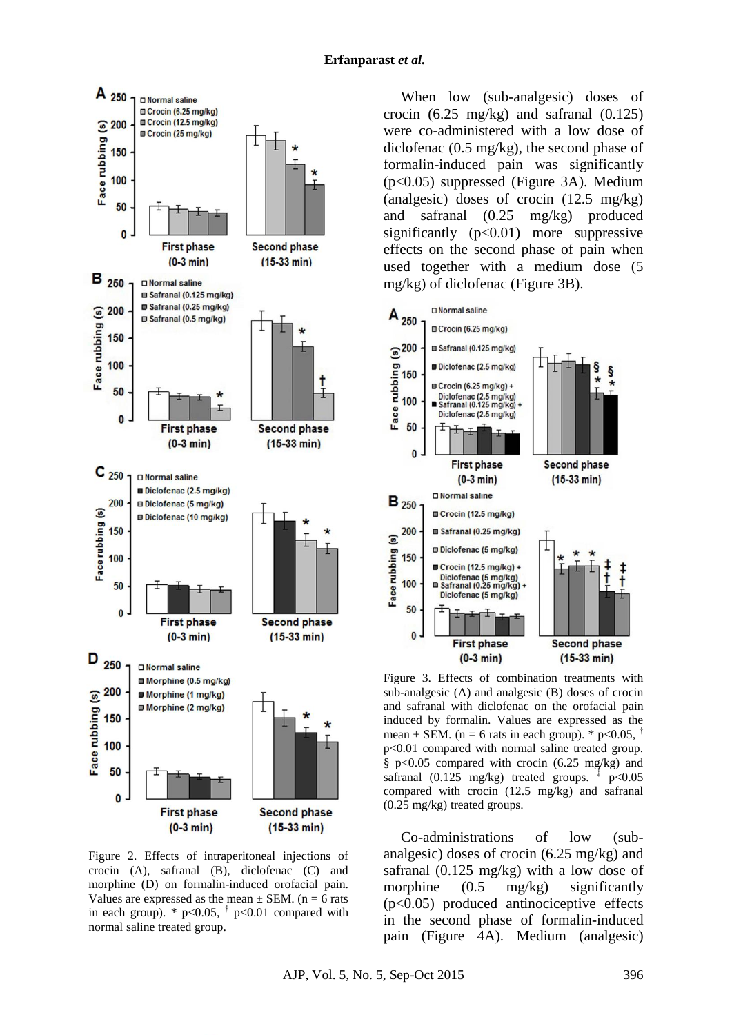

Figure 2. Effects of intraperitoneal injections of crocin (A), safranal (B), diclofenac (C) and morphine (D) on formalin-induced orofacial pain. Values are expressed as the mean  $\pm$  SEM. (n = 6 rats in each group).  $*$  p<0.05,  $\uparrow$  p<0.01 compared with normal saline treated group.

When low (sub-analgesic) doses of crocin (6.25 mg/kg) and safranal (0.125) were co-administered with a low dose of diclofenac (0.5 mg/kg), the second phase of formalin-induced pain was significantly (p<0.05) suppressed (Figure 3A). Medium (analgesic) doses of crocin (12.5 mg/kg) and safranal (0.25 mg/kg) produced significantly  $(p<0.01)$  more suppressive effects on the second phase of pain when used together with a medium dose (5 mg/kg) of diclofenac (Figure 3B).



Figure 3. Effects of combination treatments with sub-analgesic (A) and analgesic (B) doses of crocin and safranal with diclofenac on the orofacial pain induced by formalin. Values are expressed as the mean  $\pm$  SEM. (n = 6 rats in each group). \* p<0.05,  $\pm$ p<0.01 compared with normal saline treated group. §  $p<0.05$  compared with crocin (6.25 mg/kg) and safranal  $(0.125 \text{ mg/kg})$  treated groups. p<0.05 compared with crocin (12.5 mg/kg) and safranal (0.25 mg/kg) treated groups.

Co-administrations of low (subanalgesic) doses of crocin (6.25 mg/kg) and safranal (0.125 mg/kg) with a low dose of morphine  $(0.5 \text{ mg/kg})$  significantly (p<0.05) produced antinociceptive effects in the second phase of formalin-induced pain (Figure 4A). Medium (analgesic)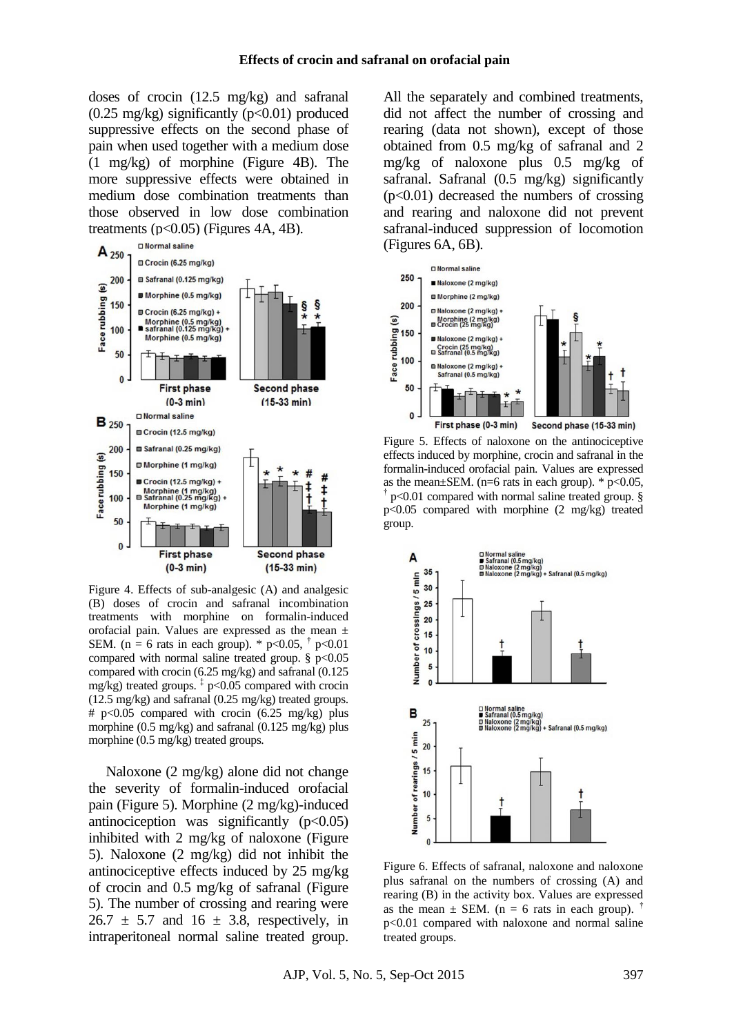doses of crocin (12.5 mg/kg) and safranal  $(0.25 \text{ mg/kg})$  significantly  $(p<0.01)$  produced suppressive effects on the second phase of pain when used together with a medium dose (1 mg/kg) of morphine (Figure 4B). The more suppressive effects were obtained in medium dose combination treatments than those observed in low dose combination treatments ( $p<0.05$ ) (Figures 4A, 4B).



Figure 4. Effects of sub-analgesic (A) and analgesic (B) doses of crocin and safranal incombination treatments with morphine on formalin-induced orofacial pain. Values are expressed as the mean ± SEM. (n = 6 rats in each group). \*  $p < 0.05$ ,  $\dagger p < 0.01$ compared with normal saline treated group.  $\S p < 0.05$ compared with crocin (6.25 mg/kg) and safranal (0.125 mg/kg) treated groups. ‡ p<0.05 compared with crocin (12.5 mg/kg) and safranal (0.25 mg/kg) treated groups. # p<0.05 compared with crocin (6.25 mg/kg) plus morphine (0.5 mg/kg) and safranal (0.125 mg/kg) plus morphine (0.5 mg/kg) treated groups.

Naloxone (2 mg/kg) alone did not change the severity of formalin-induced orofacial pain (Figure 5). Morphine (2 mg/kg)-induced antinociception was significantly  $(p<0.05)$ inhibited with 2 mg/kg of naloxone (Figure 5). Naloxone (2 mg/kg) did not inhibit the antinociceptive effects induced by 25 mg/kg of crocin and 0.5 mg/kg of safranal (Figure 5). The number of crossing and rearing were  $26.7 \pm 5.7$  and  $16 \pm 3.8$ , respectively, in intraperitoneal normal saline treated group.

All the separately and combined treatments, did not affect the number of crossing and rearing (data not shown), except of those obtained from 0.5 mg/kg of safranal and 2 mg/kg of naloxone plus 0.5 mg/kg of safranal. Safranal (0.5 mg/kg) significantly  $(p<0.01)$  decreased the numbers of crossing and rearing and naloxone did not prevent safranal-induced suppression of locomotion (Figures 6A, 6B).



Figure 5. Effects of naloxone on the antinociceptive effects induced by morphine, crocin and safranal in the formalin-induced orofacial pain. Values are expressed as the mean $\pm$ SEM. (n=6 rats in each group). \* p<0.05, † p<0.01 compared with normal saline treated group. § p<0.05 compared with morphine (2 mg/kg) treated group.



Figure 6. Effects of safranal, naloxone and naloxone plus safranal on the numbers of crossing (A) and rearing (B) in the activity box. Values are expressed as the mean  $\pm$  SEM. (n = 6 rats in each group). <sup>†</sup> p<0.01 compared with naloxone and normal saline treated groups.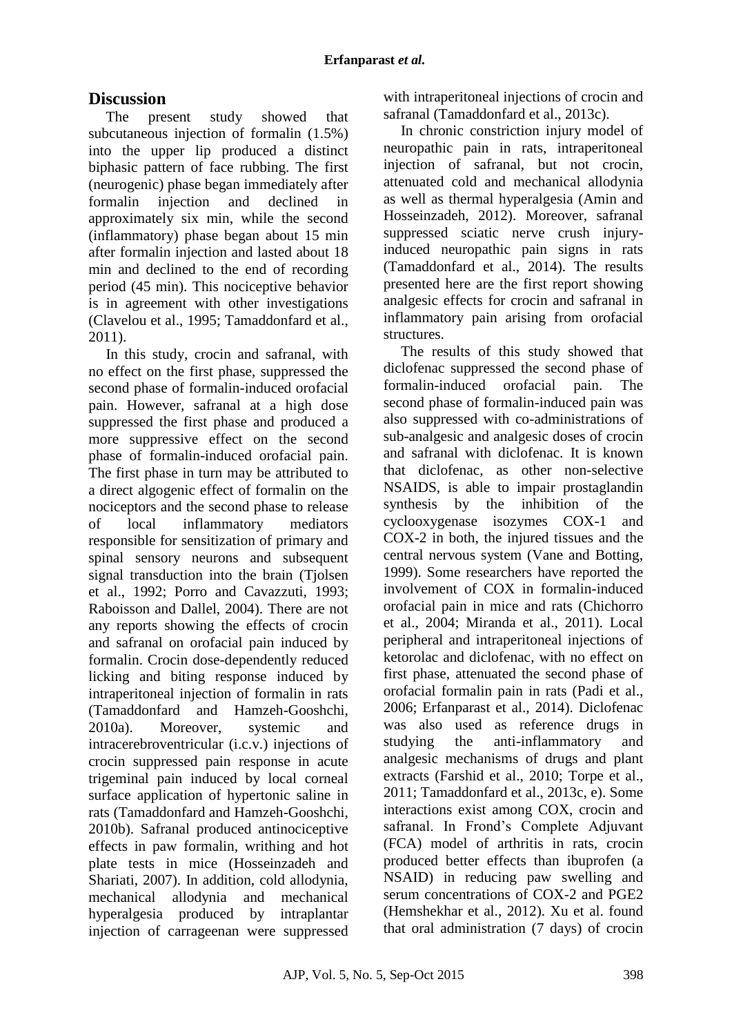# **Discussion**

The present study showed that subcutaneous injection of formalin (1.5%) into the upper lip produced a distinct biphasic pattern of face rubbing. The first (neurogenic) phase began immediately after formalin injection and declined in approximately six min, while the second (inflammatory) phase began about 15 min after formalin injection and lasted about 18 min and declined to the end of recording period (45 min). This nociceptive behavior is in agreement with other investigations (Clavelou et al., 1995; Tamaddonfard et al., 2011).

In this study, crocin and safranal, with no effect on the first phase, suppressed the second phase of formalin-induced orofacial pain. However, safranal at a high dose suppressed the first phase and produced a more suppressive effect on the second phase of formalin-induced orofacial pain. The first phase in turn may be attributed to a direct algogenic effect of formalin on the nociceptors and the second phase to release of local inflammatory mediators responsible for sensitization of primary and spinal sensory neurons and subsequent signal transduction into the brain (Tjolsen et al., 1992; Porro and Cavazzuti, 1993; Raboisson and Dallel, 2004). There are not any reports showing the effects of crocin and safranal on orofacial pain induced by formalin. Crocin dose-dependently reduced licking and biting response induced by intraperitoneal injection of formalin in rats (Tamaddonfard and Hamzeh-Gooshchi, 2010a). Moreover, systemic and intracerebroventricular (i.c.v.) injections of crocin suppressed pain response in acute trigeminal pain induced by local corneal surface application of hypertonic saline in rats (Tamaddonfard and Hamzeh-Gooshchi, 2010b). Safranal produced antinociceptive effects in paw formalin, writhing and hot plate tests in mice (Hosseinzadeh and Shariati, 2007). In addition, cold allodynia, mechanical allodynia and mechanical hyperalgesia produced by intraplantar injection of carrageenan were suppressed with intraperitoneal injections of crocin and safranal (Tamaddonfard et al., 2013c).

In chronic constriction injury model of neuropathic pain in rats, intraperitoneal injection of safranal, but not crocin, attenuated cold and mechanical allodynia as well as thermal hyperalgesia (Amin and Hosseinzadeh, 2012). Moreover, safranal suppressed sciatic nerve crush injuryinduced neuropathic pain signs in rats (Tamaddonfard et al., 2014). The results presented here are the first report showing analgesic effects for crocin and safranal in inflammatory pain arising from orofacial structures.

The results of this study showed that diclofenac suppressed the second phase of formalin-induced orofacial pain. The second phase of formalin-induced pain was also suppressed with co-administrations of sub-analgesic and analgesic doses of crocin and safranal with diclofenac. It is known that diclofenac, as other non-selective NSAIDS, is able to impair prostaglandin synthesis by the inhibition of the cyclooxygenase isozymes COX-1 and COX-2 in both, the injured tissues and the central nervous system (Vane and Botting, 1999). Some researchers have reported the involvement of COX in formalin-induced orofacial pain in mice and rats (Chichorro et al., 2004; Miranda et al., 2011). Local peripheral and intraperitoneal injections of ketorolac and diclofenac, with no effect on first phase, attenuated the second phase of orofacial formalin pain in rats (Padi et al., 2006; Erfanparast et al., 2014). Diclofenac was also used as reference drugs in studying the anti-inflammatory and analgesic mechanisms of drugs and plant extracts (Farshid et al., 2010; Torpe et al., 2011; Tamaddonfard et al., 2013c, e). Some interactions exist among COX, crocin and safranal. In Frond's Complete Adjuvant (FCA) model of arthritis in rats, crocin produced better effects than ibuprofen (a NSAID) in reducing paw swelling and serum concentrations of COX-2 and PGE2 (Hemshekhar et al., 2012). Xu et al. found that oral administration (7 days) of crocin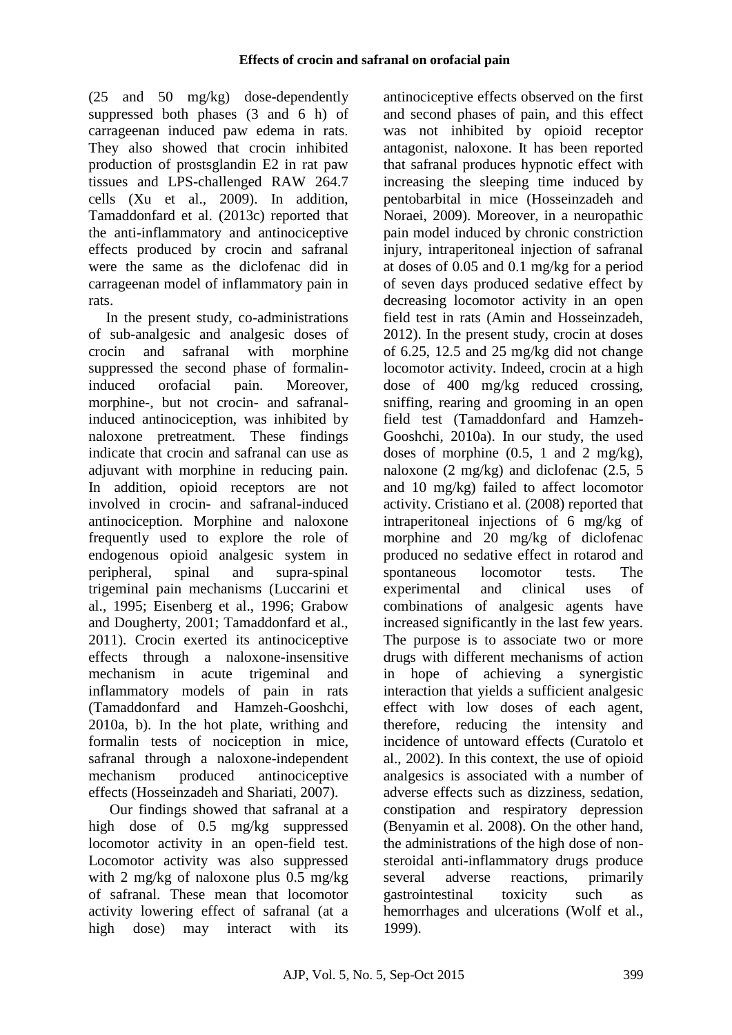(25 and 50 mg/kg) dose-dependently suppressed both phases (3 and 6 h) of carrageenan induced paw edema in rats. They also showed that crocin inhibited production of prostsglandin E2 in rat paw tissues and LPS-challenged RAW 264.7 cells (Xu et al., 2009). In addition, Tamaddonfard et al. (2013c) reported that the anti-inflammatory and antinociceptive effects produced by crocin and safranal were the same as the diclofenac did in carrageenan model of inflammatory pain in rats.

In the present study, co-administrations of sub-analgesic and analgesic doses of crocin and safranal with morphine suppressed the second phase of formalininduced orofacial pain. Moreover, morphine-, but not crocin- and safranalinduced antinociception, was inhibited by naloxone pretreatment. These findings indicate that crocin and safranal can use as adjuvant with morphine in reducing pain. In addition, opioid receptors are not involved in crocin- and safranal-induced antinociception. Morphine and naloxone frequently used to explore the role of endogenous opioid analgesic system in peripheral, spinal and supra-spinal trigeminal pain mechanisms (Luccarini et al., 1995; Eisenberg et al., 1996; Grabow and Dougherty, 2001; Tamaddonfard et al., 2011). Crocin exerted its antinociceptive effects through a naloxone-insensitive mechanism in acute trigeminal and inflammatory models of pain in rats (Tamaddonfard and Hamzeh-Gooshchi, 2010a, b). In the hot plate, writhing and formalin tests of nociception in mice, safranal through a naloxone-independent mechanism produced antinociceptive effects (Hosseinzadeh and Shariati, 2007).

Our findings showed that safranal at a high dose of 0.5 mg/kg suppressed locomotor activity in an open-field test. Locomotor activity was also suppressed with 2 mg/kg of naloxone plus 0.5 mg/kg of safranal. These mean that locomotor activity lowering effect of safranal (at a high dose) may interact with its antinociceptive effects observed on the first and second phases of pain, and this effect was not inhibited by opioid receptor antagonist, naloxone. It has been reported that safranal produces hypnotic effect with increasing the sleeping time induced by pentobarbital in mice (Hosseinzadeh and Noraei, 2009). Moreover, in a neuropathic pain model induced by chronic constriction injury, intraperitoneal injection of safranal at doses of 0.05 and 0.1 mg/kg for a period of seven days produced sedative effect by decreasing locomotor activity in an open field test in rats (Amin and Hosseinzadeh, 2012). In the present study, crocin at doses of 6.25, 12.5 and 25 mg/kg did not change locomotor activity. Indeed, crocin at a high dose of 400 mg/kg reduced crossing, sniffing, rearing and grooming in an open field test (Tamaddonfard and Hamzeh-Gooshchi, 2010a). In our study, the used doses of morphine (0.5, 1 and 2 mg/kg), naloxone (2 mg/kg) and diclofenac (2.5, 5 and 10 mg/kg) failed to affect locomotor activity. Cristiano et al. (2008) reported that intraperitoneal injections of 6 mg/kg of morphine and 20 mg/kg of diclofenac produced no sedative effect in rotarod and spontaneous locomotor tests. The experimental and clinical uses of combinations of analgesic agents have increased significantly in the last few years. The purpose is to associate two or more drugs with different mechanisms of action in hope of achieving a synergistic interaction that yields a sufficient analgesic effect with low doses of each agent, therefore, reducing the intensity and incidence of untoward effects (Curatolo et al., 2002). In this context, the use of opioid analgesics is associated with a number of adverse effects such as dizziness, sedation, constipation and respiratory depression (Benyamin et al. 2008). On the other hand, the administrations of the high dose of nonsteroidal anti-inflammatory drugs produce several adverse reactions, primarily gastrointestinal toxicity such as hemorrhages and ulcerations (Wolf et al., 1999).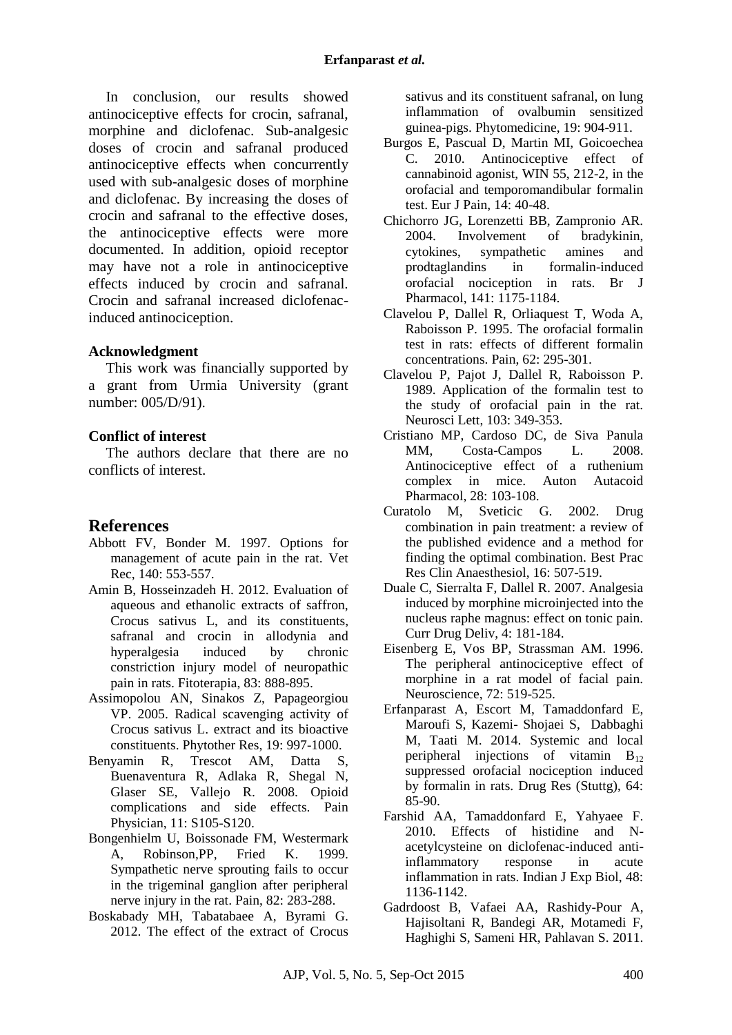In conclusion, our results showed antinociceptive effects for crocin, safranal, morphine and diclofenac. Sub-analgesic doses of crocin and safranal produced antinociceptive effects when concurrently used with sub-analgesic doses of morphine and diclofenac. By increasing the doses of crocin and safranal to the effective doses, the antinociceptive effects were more documented. In addition, opioid receptor may have not a role in antinociceptive effects induced by crocin and safranal. Crocin and safranal increased diclofenacinduced antinociception.

#### **Acknowledgment**

This work was financially supported by a grant from Urmia University (grant number: 005/D/91).

### **Conflict of interest**

The authors declare that there are no conflicts of interest.

## **References**

- Abbott FV, Bonder M. 1997. Options for management of acute pain in the rat. Vet Rec, 140: 553-557.
- Amin B, Hosseinzadeh H. 2012. Evaluation of aqueous and ethanolic extracts of saffron, Crocus sativus L, and its constituents, safranal and crocin in allodynia and hyperalgesia induced by chronic constriction injury model of neuropathic pain in rats. Fitoterapia, 83: 888-895.
- Assimopolou AN, Sinakos Z, Papageorgiou VP. 2005. Radical scavenging activity of Crocus sativus L. extract and its bioactive constituents. Phytother Res, 19: 997-1000.
- Benyamin R, Trescot AM, Datta S, Buenaventura R, Adlaka R, Shegal N, Glaser SE, Vallejo R. 2008. Opioid complications and side effects. Pain Physician, 11: S105-S120.
- Bongenhielm U, Boissonade FM, Westermark A, Robinson,PP, Fried K. 1999. Sympathetic nerve sprouting fails to occur in the trigeminal ganglion after peripheral nerve injury in the rat. Pain, 82: 283-288.
- Boskabady MH, Tabatabaee A, Byrami G. 2012. The effect of the extract of Crocus

sativus and its constituent safranal, on lung inflammation of ovalbumin sensitized guinea-pigs. Phytomedicine, 19: 904-911.

- Burgos E, Pascual D, Martin MI, Goicoechea C. 2010. Antinociceptive effect of cannabinoid agonist, WIN 55, 212-2, in the orofacial and temporomandibular formalin test. Eur J Pain, 14: 40-48.
- Chichorro JG, Lorenzetti BB, Zampronio AR. 2004. Involvement of bradykinin, cytokines, sympathetic amines and prodtaglandins in formalin-induced orofacial nociception in rats. Br J Pharmacol, 141: 1175-1184.
- Clavelou P, Dallel R, Orliaquest T, Woda A, Raboisson P. 1995. The orofacial formalin test in rats: effects of different formalin concentrations. Pain, 62: 295-301.
- Clavelou P, Pajot J, Dallel R, Raboisson P. 1989. Application of the formalin test to the study of orofacial pain in the rat. Neurosci Lett, 103: 349-353.
- Cristiano MP, Cardoso DC, de Siva Panula MM, Costa-Campos L. 2008. Antinociceptive effect of a ruthenium complex in mice. Auton Autacoid Pharmacol, 28: 103-108.
- Curatolo M, Sveticic G. 2002. Drug combination in pain treatment: a review of the published evidence and a method for finding the optimal combination. Best Prac Res Clin Anaesthesiol, 16: 507-519.
- Duale C, Sierralta F, Dallel R. 2007. Analgesia induced by morphine microinjected into the nucleus raphe magnus: effect on tonic pain. Curr Drug Deliv, 4: 181-184.
- Eisenberg E, Vos BP, Strassman AM. 1996. The peripheral antinociceptive effect of morphine in a rat model of facial pain. Neuroscience, 72: 519-525.
- Erfanparast A, Escort M, Tamaddonfard E, Maroufi S, Kazemi- Shojaei S, Dabbaghi M, Taati M. 2014. Systemic and local peripheral injections of vitamin  $B_{12}$ suppressed orofacial nociception induced by formalin in rats. Drug Res (Stuttg), 64: 85-90.
- Farshid AA, Tamaddonfard E, Yahyaee F. 2010. Effects of histidine and Nacetylcysteine on diclofenac-induced antiinflammatory response in acute inflammation in rats. Indian J Exp Biol, 48: 1136-1142.
- Gadrdoost B, Vafaei AA, Rashidy-Pour A, Hajisoltani R, Bandegi AR, Motamedi F, Haghighi S, Sameni HR, Pahlavan S. 2011.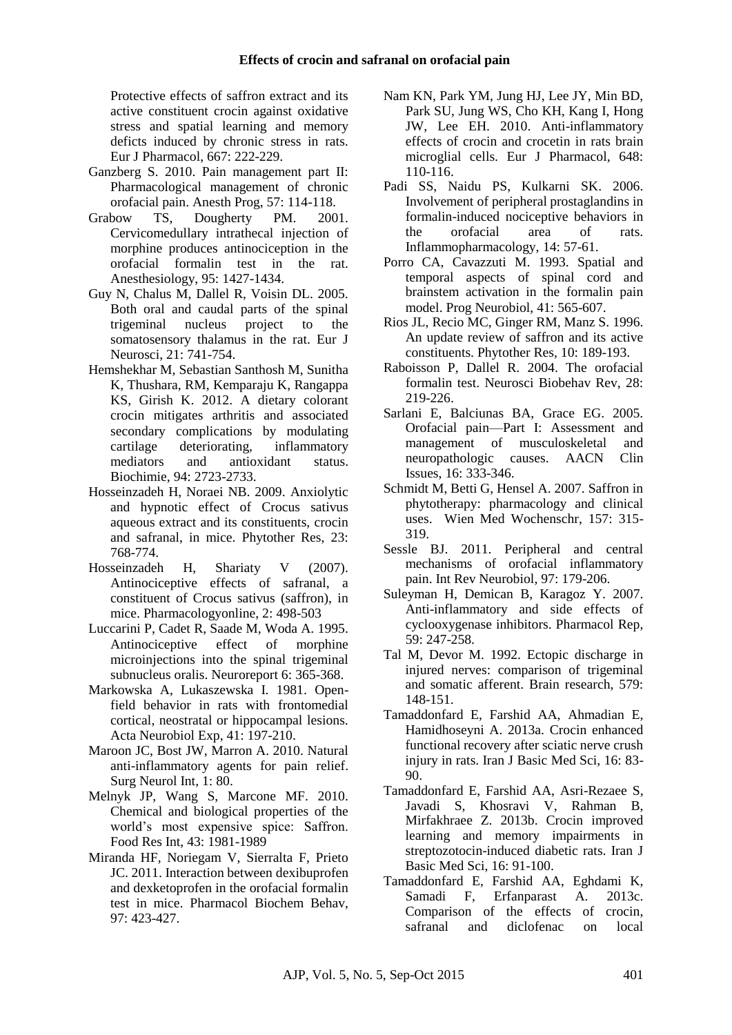Protective effects of saffron extract and its active constituent crocin against oxidative stress and spatial learning and memory deficts induced by chronic stress in rats. Eur J Pharmacol, 667: 222-229.

- Ganzberg S. 2010. Pain management part II: Pharmacological management of chronic orofacial pain. Anesth Prog, 57: 114-118.
- Grabow TS, Dougherty PM. 2001. Cervicomedullary intrathecal injection of morphine produces antinociception in the orofacial formalin test in the rat. Anesthesiology, 95: 1427-1434.
- Guy N, Chalus M, Dallel R, Voisin DL. 2005. Both oral and caudal parts of the spinal trigeminal nucleus project to the somatosensory thalamus in the rat. Eur J Neurosci, 21: 741-754.
- Hemshekhar M, Sebastian Santhosh M, Sunitha K, Thushara, RM, Kemparaju K, Rangappa KS, Girish K. 2012. A dietary colorant crocin mitigates arthritis and associated secondary complications by modulating cartilage deteriorating, inflammatory mediators and antioxidant status. Biochimie, 94: 2723-2733.
- Hosseinzadeh H, Noraei NB. 2009. Anxiolytic and hypnotic effect of Crocus sativus aqueous extract and its constituents, crocin and safranal, in mice. Phytother Res, 23: 768-774.
- Hosseinzadeh H, Shariaty V (2007). Antinociceptive effects of safranal, a constituent of Crocus sativus (saffron), in mice. Pharmacologyonline, 2: 498-503
- Luccarini P, Cadet R, Saade M, Woda A. 1995. Antinociceptive effect of morphine microinjections into the spinal trigeminal subnucleus oralis. Neuroreport 6: 365-368.
- Markowska A, Lukaszewska I. 1981. Openfield behavior in rats with frontomedial cortical, neostratal or hippocampal lesions. Acta Neurobiol Exp, 41: 197-210.
- Maroon JC, Bost JW, Marron A. 2010. Natural anti-inflammatory agents for pain relief. Surg Neurol Int, 1: 80.
- Melnyk JP, Wang S, Marcone MF. 2010. Chemical and biological properties of the world's most expensive spice: Saffron. Food Res Int, 43: 1981-1989
- Miranda HF, Noriegam V, Sierralta F, Prieto JC. 2011. Interaction between dexibuprofen and dexketoprofen in the orofacial formalin test in mice. Pharmacol Biochem Behav, 97: 423-427.
- Nam KN, Park YM, Jung HJ, Lee JY, Min BD, Park SU, Jung WS, Cho KH, Kang I, Hong JW, Lee EH. 2010. Anti-inflammatory effects of crocin and crocetin in rats brain microglial cells. Eur J Pharmacol, 648: 110-116.
- Padi SS, Naidu PS, Kulkarni SK. 2006. Involvement of peripheral prostaglandins in formalin-induced nociceptive behaviors in the orofacial area of rats. Inflammopharmacology, 14: 57-61.
- Porro CA, Cavazzuti M. 1993. Spatial and temporal aspects of spinal cord and brainstem activation in the formalin pain model. Prog Neurobiol, 41: 565-607.
- Rios JL, Recio MC, Ginger RM, Manz S. 1996. An update review of saffron and its active constituents. Phytother Res, 10: 189-193.
- Raboisson P, Dallel R. 2004. The orofacial formalin test. Neurosci Biobehav Rev, 28: 219-226.
- Sarlani E, Balciunas BA, Grace EG. 2005. Orofacial pain—Part I: Assessment and management of musculoskeletal and neuropathologic causes. AACN Clin Issues, 16: 333-346.
- Schmidt M, Betti G, Hensel A. 2007. Saffron in phytotherapy: pharmacology and clinical uses. Wien Med Wochenschr, 157: 315-319.
- Sessle BJ. 2011. Peripheral and central mechanisms of orofacial inflammatory pain. Int Rev Neurobiol, 97: 179-206.
- Suleyman H, Demican B, Karagoz Y. 2007. Anti-inflammatory and side effects of cyclooxygenase inhibitors. Pharmacol Rep, 59: 247-258.
- Tal M, Devor M. 1992. Ectopic discharge in injured nerves: comparison of trigeminal and somatic afferent. Brain research, 579: 148-151.
- Tamaddonfard E, Farshid AA, Ahmadian E, Hamidhoseyni A. 2013a. Crocin enhanced functional recovery after sciatic nerve crush injury in rats. Iran J Basic Med Sci, 16: 83- 90.
- Tamaddonfard E, Farshid AA, Asri-Rezaee S, Javadi S, Khosravi V, Rahman B, Mirfakhraee Z. 2013b. Crocin improved learning and memory impairments in streptozotocin-induced diabetic rats. Iran J Basic Med Sci, 16: 91-100.
- Tamaddonfard E, Farshid AA, Eghdami K, Samadi F, Erfanparast A. 2013c. Comparison of the effects of crocin, safranal and diclofenac on local